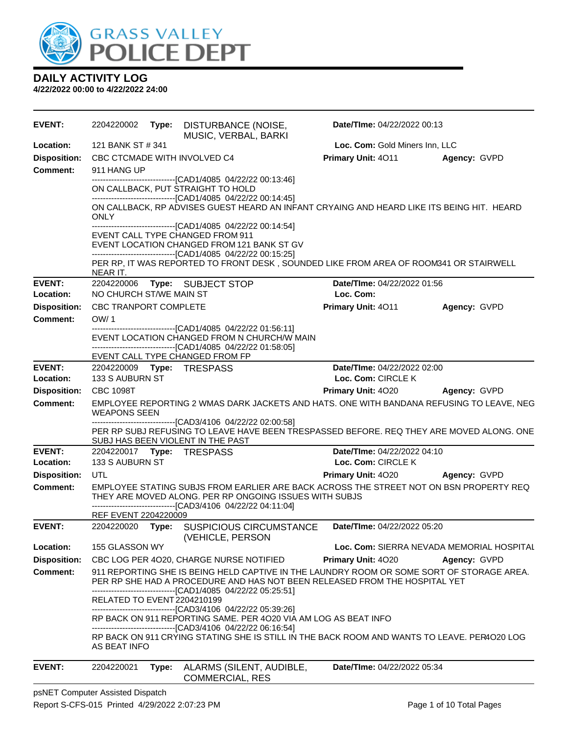

**DAILY ACTIVITY LOG 4/22/2022 00:00 to 4/22/2022 24:00**

**EVENT:** 2204220002 **Type:** DISTURBANCE (NOISE, MUSIC, VERBAL, BARKI **Date/TIme:** 04/22/2022 00:13 **Location:** 121 BANK ST # 341 **Loc. Com:** Gold Miners Inn, LLC **Disposition:** CBC CTCMADE WITH INVOLVED C4 **Primary Unit:** 4O11 **Agency:** GVPD **Comment:** 911 HANG UP ------------------------------[CAD1/4085 04/22/22 00:13:46] ON CALLBACK, PUT STRAIGHT TO HOLD ------------------------------[CAD1/4085 04/22/22 00:14:45] ON CALLBACK, RP ADVISES GUEST HEARD AN INFANT CRYAING AND HEARD LIKE ITS BEING HIT. HEARD ONLY ------------------------------[CAD1/4085 04/22/22 00:14:54] EVENT CALL TYPE CHANGED FROM 911 EVENT LOCATION CHANGED FROM 121 BANK ST GV ------------------------------[CAD1/4085 04/22/22 00:15:25] PER RP, IT WAS REPORTED TO FRONT DESK, SOUNDED LIKE FROM AREA OF ROOM341 OR STAIRWELL NEAR IT. **EVENT:** 2204220006 **Type:** SUBJECT STOP **Date/TIme:** 04/22/2022 01:56 **Location:** NO CHURCH ST/WE MAIN ST **Loc. Com: Disposition:** CBC TRANPORT COMPLETE **Primary Unit:** 4O11 **Agency:** GVPD **Comment:** OW/ 1 ------------------------------[CAD1/4085 04/22/22 01:56:11] EVENT LOCATION CHANGED FROM N CHURCH/W MAIN ------------------------------[CAD1/4085 04/22/22 01:58:05] EVENT CALL TYPE CHANGED FROM FP **EVENT:** 2204220009 **Type:** TRESPASS **Date/TIme:** 04/22/2022 02:00 **Location:** 133 S AUBURN ST **Loc. Com:** CIRCLE K **Disposition:** CBC 1098T **Primary Unit:** 4O20 **Agency:** GVPD **Comment:** EMPLOYEE REPORTING 2 WMAS DARK JACKETS AND HATS. ONE WITH BANDANA REFUSING TO LEAVE, NEG WEAPONS SEEN ------------------------------[CAD3/4106 04/22/22 02:00:58] PER RP SUBJ REFUSING TO LEAVE HAVE BEEN TRESPASSED BEFORE. REQ THEY ARE MOVED ALONG. ONE SUBJ HAS BEEN VIOLENT IN THE PAST **EVENT:** 2204220017 **Type:** TRESPASS **Date/TIme:** 04/22/2022 04:10 **Location:** 133 S AUBURN ST **Loc. Com:** CIRCLE K **Disposition:** UTL **Primary Unit:** 4O20 **Agency:** GVPD **Comment:** EMPLOYEE STATING SUBJS FROM EARLIER ARE BACK ACROSS THE STREET NOT ON BSN PROPERTY REQ THEY ARE MOVED ALONG. PER RP ONGOING ISSUES WITH SUBJS ------------------------------[CAD3/4106 04/22/22 04:11:04] REF EVENT 2204220009 **EVENT:** 2204220020 **Type:** SUSPICIOUS CIRCUMSTANCE (VEHICLE, PERSON **Date/TIme:** 04/22/2022 05:20 **Location:** 155 GLASSON WY **Loc. Com:** SIERRA NEVADA MEMORIAL HOSPITAL **Disposition:** CBC LOG PER 4O20, CHARGE NURSE NOTIFIED **Primary Unit:** 4O20 **Agency:** GVPD **Comment:** 911 REPORTING SHE IS BEING HELD CAPTIVE IN THE LAUNDRY ROOM OR SOME SORT OF STORAGE AREA. PER RP SHE HAD A PROCEDURE AND HAS NOT BEEN RELEASED FROM THE HOSPITAL YET ------------------------------[CAD1/4085 04/22/22 05:25:51] RELATED TO EVENT 2204210199 ------------------------------[CAD3/4106 04/22/22 05:39:26] RP BACK ON 911 REPORTING SAME. PER 4O20 VIA AM LOG AS BEAT INFO ------------------------------[CAD3/4106 04/22/22 06:16:54] RP BACK ON 911 CRYING STATING SHE IS STILL IN THE BACK ROOM AND WANTS TO LEAVE. PER4O20 LOG AS BEAT INFO **EVENT:** 2204220021 **Type:** ALARMS (SILENT, AUDIBLE, COMMERCIAL, RES **Date/TIme:** 04/22/2022 05:34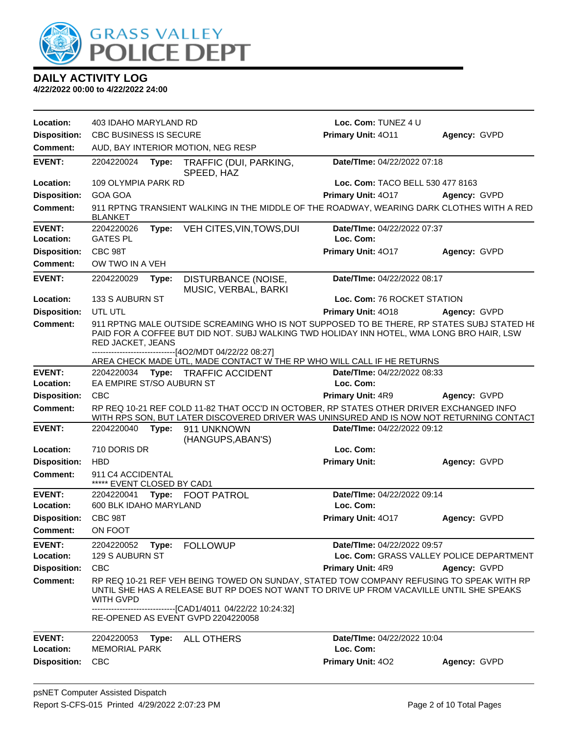

| Location:                  | 403 IDAHO MARYLAND RD                           |       |                                                                                                                                                                                                                                                       | Loc. Com: TUNEZ 4 U                                                            |              |
|----------------------------|-------------------------------------------------|-------|-------------------------------------------------------------------------------------------------------------------------------------------------------------------------------------------------------------------------------------------------------|--------------------------------------------------------------------------------|--------------|
| <b>Disposition:</b>        | <b>CBC BUSINESS IS SECURE</b>                   |       | Primary Unit: 4011                                                                                                                                                                                                                                    | Agency: GVPD                                                                   |              |
| <b>Comment:</b>            |                                                 |       | AUD, BAY INTERIOR MOTION, NEG RESP                                                                                                                                                                                                                    |                                                                                |              |
| <b>EVENT:</b>              | 2204220024                                      | Type: | TRAFFIC (DUI, PARKING,<br>SPEED, HAZ                                                                                                                                                                                                                  | Date/TIme: 04/22/2022 07:18                                                    |              |
| Location:                  | 109 OLYMPIA PARK RD                             |       |                                                                                                                                                                                                                                                       | Loc. Com: TACO BELL 530 477 8163                                               |              |
| <b>Disposition:</b>        | <b>GOA GOA</b>                                  |       |                                                                                                                                                                                                                                                       | Primary Unit: 4017                                                             | Agency: GVPD |
| <b>Comment:</b>            | <b>BLANKET</b>                                  |       | 911 RPTNG TRANSIENT WALKING IN THE MIDDLE OF THE ROADWAY, WEARING DARK CLOTHES WITH A RED                                                                                                                                                             |                                                                                |              |
| <b>EVENT:</b>              | 2204220026                                      | Type: | VEH CITES, VIN, TOWS, DUI                                                                                                                                                                                                                             | Date/TIme: 04/22/2022 07:37                                                    |              |
| Location:                  | <b>GATES PL</b>                                 |       |                                                                                                                                                                                                                                                       | Loc. Com:                                                                      |              |
| <b>Disposition:</b>        | CBC 98T                                         |       |                                                                                                                                                                                                                                                       | Primary Unit: 4017                                                             | Agency: GVPD |
| <b>Comment:</b>            | OW TWO IN A VEH                                 |       |                                                                                                                                                                                                                                                       |                                                                                |              |
| <b>EVENT:</b>              | 2204220029                                      | Type: | DISTURBANCE (NOISE,<br>MUSIC, VERBAL, BARKI                                                                                                                                                                                                           | Date/TIme: 04/22/2022 08:17                                                    |              |
| Location:                  | 133 S AUBURN ST                                 |       |                                                                                                                                                                                                                                                       | Loc. Com: 76 ROCKET STATION                                                    |              |
| <b>Disposition:</b>        | UTL UTL                                         |       |                                                                                                                                                                                                                                                       | <b>Primary Unit: 4018</b>                                                      | Agency: GVPD |
| <b>Comment:</b>            | RED JACKET, JEANS                               |       | 911 RPTNG MALE OUTSIDE SCREAMING WHO IS NOT SUPPOSED TO BE THERE, RP STATES SUBJ STATED HI<br>PAID FOR A COFFEE BUT DID NOT. SUBJ WALKING TWD HOLIDAY INN HOTEL, WMA LONG BRO HAIR, LSW<br>----------------------------------[4O2/MDT 04/22/22 08:27] |                                                                                |              |
| <b>EVENT:</b>              |                                                 |       | AREA CHECK MADE UTL, MADE CONTACT W THE RP WHO WILL CALL IF HE RETURNS<br>2204220034 Type: TRAFFIC ACCIDENT                                                                                                                                           | Date/TIme: 04/22/2022 08:33                                                    |              |
| Location:                  | EA EMPIRE ST/SO AUBURN ST                       |       |                                                                                                                                                                                                                                                       | Loc. Com:                                                                      |              |
| <b>Disposition:</b>        | <b>CBC</b>                                      |       |                                                                                                                                                                                                                                                       | Primary Unit: 4R9                                                              | Agency: GVPD |
| <b>Comment:</b>            |                                                 |       | RP REQ 10-21 REF COLD 11-82 THAT OCC'D IN OCTOBER, RP STATES OTHER DRIVER EXCHANGED INFO<br>WITH RPS SON, BUT LATER DISCOVERED DRIVER WAS UNINSURED AND IS NOW NOT RETURNING CONTACT                                                                  |                                                                                |              |
| <b>EVENT:</b>              | 2204220040                                      | Type: | 911 UNKNOWN<br>(HANGUPS, ABAN'S)                                                                                                                                                                                                                      | Date/TIme: 04/22/2022 09:12                                                    |              |
| Location:                  | 710 DORIS DR                                    |       |                                                                                                                                                                                                                                                       | Loc. Com:                                                                      |              |
| <b>Disposition:</b>        | <b>HBD</b>                                      |       |                                                                                                                                                                                                                                                       | <b>Primary Unit:</b>                                                           | Agency: GVPD |
| <b>Comment:</b>            | 911 C4 ACCIDENTAL<br>***** EVENT CLOSED BY CAD1 |       |                                                                                                                                                                                                                                                       |                                                                                |              |
| <b>EVENT:</b>              | 2204220041                                      | Type: | <b>FOOT PATROL</b>                                                                                                                                                                                                                                    | Date/TIme: 04/22/2022 09:14                                                    |              |
| Location:                  | 600 BLK IDAHO MARYLAND                          |       |                                                                                                                                                                                                                                                       | Loc. Com:                                                                      |              |
| <b>Disposition:</b>        | CBC 98T                                         |       |                                                                                                                                                                                                                                                       | Primary Unit: 4017                                                             | Agency: GVPD |
| <b>Comment:</b>            | ON FOOT                                         |       |                                                                                                                                                                                                                                                       |                                                                                |              |
| <b>EVENT:</b><br>Location: | 2204220052<br>129 S AUBURN ST                   | Type: | <b>FOLLOWUP</b>                                                                                                                                                                                                                                       | <b>Date/Time: 04/22/2022 09:57</b><br>Loc. Com: GRASS VALLEY POLICE DEPARTMENT |              |
| <b>Disposition:</b>        | <b>CBC</b>                                      |       |                                                                                                                                                                                                                                                       | Primary Unit: 4R9                                                              | Agency: GVPD |
| <b>Comment:</b>            | <b>WITH GVPD</b>                                |       | RP REQ 10-21 REF VEH BEING TOWED ON SUNDAY, STATED TOW COMPANY REFUSING TO SPEAK WITH RP<br>UNTIL SHE HAS A RELEASE BUT RP DOES NOT WANT TO DRIVE UP FROM VACAVILLE UNTIL SHE SPEAKS                                                                  |                                                                                |              |
|                            |                                                 |       | --------------------------------[CAD1/4011 04/22/22 10:24:32]<br>RE-OPENED AS EVENT GVPD 2204220058                                                                                                                                                   |                                                                                |              |
| <b>EVENT:</b><br>Location: | 2204220053<br><b>MEMORIAL PARK</b>              | Type: | <b>ALL OTHERS</b>                                                                                                                                                                                                                                     | Date/TIme: 04/22/2022 10:04<br>Loc. Com:                                       |              |
| <b>Disposition:</b>        | <b>CBC</b>                                      |       |                                                                                                                                                                                                                                                       | Primary Unit: 402                                                              | Agency: GVPD |
|                            |                                                 |       |                                                                                                                                                                                                                                                       |                                                                                |              |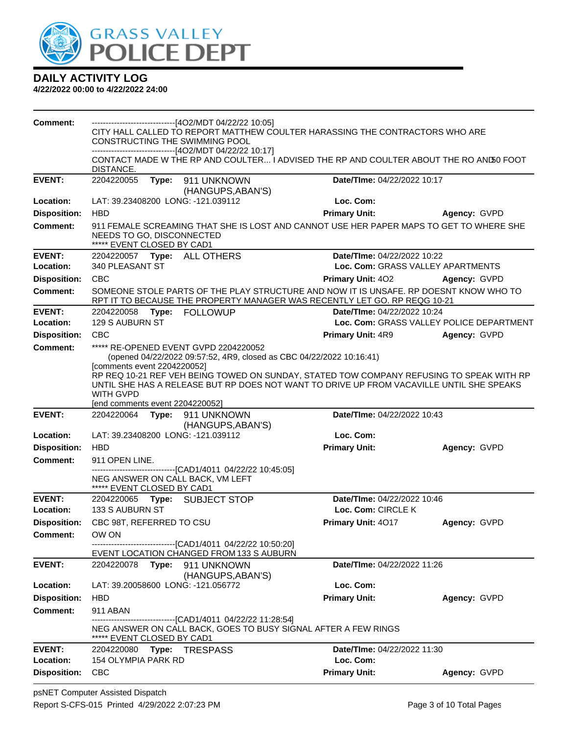

| <b>Comment:</b>                        | -------------------------------[4O2/MDT 04/22/22 10:05]<br>CITY HALL CALLED TO REPORT MATTHEW COULTER HARASSING THE CONTRACTORS WHO ARE<br>CONSTRUCTING THE SWIMMING POOL<br>------------------------------[4O2/MDT 04/22/22 10:17]<br>CONTACT MADE W THE RP AND COULTER I ADVISED THE RP AND COULTER ABOUT THE RO AND 50 FOOT<br>DISTANCE. |                                                                                                                                 |                                                                                                                                                                                      |                                          |  |
|----------------------------------------|---------------------------------------------------------------------------------------------------------------------------------------------------------------------------------------------------------------------------------------------------------------------------------------------------------------------------------------------|---------------------------------------------------------------------------------------------------------------------------------|--------------------------------------------------------------------------------------------------------------------------------------------------------------------------------------|------------------------------------------|--|
| <b>EVENT:</b>                          | 2204220055<br>Type:                                                                                                                                                                                                                                                                                                                         | 911 UNKNOWN                                                                                                                     | Date/TIme: 04/22/2022 10:17                                                                                                                                                          |                                          |  |
| Location:                              | LAT: 39.23408200 LONG: -121.039112                                                                                                                                                                                                                                                                                                          | (HANGUPS, ABAN'S)                                                                                                               | Loc. Com:                                                                                                                                                                            |                                          |  |
| <b>Disposition:</b>                    | <b>HBD</b>                                                                                                                                                                                                                                                                                                                                  |                                                                                                                                 | <b>Primary Unit:</b>                                                                                                                                                                 | Agency: GVPD                             |  |
| <b>Comment:</b>                        | NEEDS TO GO, DISCONNECTED<br>***** EVENT CLOSED BY CAD1                                                                                                                                                                                                                                                                                     |                                                                                                                                 | 911 FEMALE SCREAMING THAT SHE IS LOST AND CANNOT USE HER PAPER MAPS TO GET TO WHERE SHE                                                                                              |                                          |  |
| <b>EVENT:</b><br>Location:             | 2204220057    Type: ALL OTHERS<br>340 PLEASANT ST                                                                                                                                                                                                                                                                                           |                                                                                                                                 | Date/TIme: 04/22/2022 10:22<br>Loc. Com: GRASS VALLEY APARTMENTS                                                                                                                     |                                          |  |
| <b>Disposition:</b>                    | <b>CBC</b>                                                                                                                                                                                                                                                                                                                                  |                                                                                                                                 | <b>Primary Unit: 402</b>                                                                                                                                                             | Agency: GVPD                             |  |
| Comment:                               |                                                                                                                                                                                                                                                                                                                                             |                                                                                                                                 | SOMEONE STOLE PARTS OF THE PLAY STRUCTURE AND NOW IT IS UNSAFE. RP DOESNT KNOW WHO TO<br>RPT IT TO BECAUSE THE PROPERTY MANAGER WAS RECENTLY LET GO. RP REQG 10-21                   |                                          |  |
| <b>EVENT:</b>                          | 2204220058 Type: FOLLOWUP                                                                                                                                                                                                                                                                                                                   |                                                                                                                                 | Date/TIme: 04/22/2022 10:24                                                                                                                                                          |                                          |  |
| Location:                              | 129 S AUBURN ST                                                                                                                                                                                                                                                                                                                             |                                                                                                                                 |                                                                                                                                                                                      | Loc. Com: GRASS VALLEY POLICE DEPARTMENT |  |
| <b>Disposition:</b><br><b>Comment:</b> | <b>CBC</b>                                                                                                                                                                                                                                                                                                                                  | ***** RE-OPENED EVENT GVPD 2204220052                                                                                           | <b>Primary Unit: 4R9</b>                                                                                                                                                             | Agency: GVPD                             |  |
|                                        | [comments event 2204220052]<br><b>WITH GVPD</b><br>[end comments event 2204220052]                                                                                                                                                                                                                                                          | (opened 04/22/2022 09:57:52, 4R9, closed as CBC 04/22/2022 10:16:41)                                                            | RP REQ 10-21 REF VEH BEING TOWED ON SUNDAY, STATED TOW COMPANY REFUSING TO SPEAK WITH RP<br>UNTIL SHE HAS A RELEASE BUT RP DOES NOT WANT TO DRIVE UP FROM VACAVILLE UNTIL SHE SPEAKS |                                          |  |
| <b>EVENT:</b>                          | Date/TIme: 04/22/2022 10:43<br>2204220064<br><b>Type:</b> 911 UNKNOWN<br>(HANGUPS, ABAN'S)                                                                                                                                                                                                                                                  |                                                                                                                                 |                                                                                                                                                                                      |                                          |  |
| Location:                              | LAT: 39.23408200 LONG: -121.039112                                                                                                                                                                                                                                                                                                          |                                                                                                                                 | Loc. Com:                                                                                                                                                                            |                                          |  |
| <b>Disposition:</b>                    | <b>HBD</b>                                                                                                                                                                                                                                                                                                                                  |                                                                                                                                 | <b>Primary Unit:</b>                                                                                                                                                                 | Agency: GVPD                             |  |
| <b>Comment:</b>                        | 911 OPEN LINE.<br>NEG ANSWER ON CALL BACK, VM LEFT<br>***** EVENT CLOSED BY CAD1                                                                                                                                                                                                                                                            | -------------------------------[CAD1/4011 04/22/22 10:45:05]                                                                    |                                                                                                                                                                                      |                                          |  |
| <b>EVENT:</b><br>Location:             | 2204220065 Type: SUBJECT STOP<br>133 S AUBURN ST                                                                                                                                                                                                                                                                                            |                                                                                                                                 | Date/TIme: 04/22/2022 10:46<br>Loc. Com: CIRCLE K                                                                                                                                    |                                          |  |
| <b>Disposition:</b>                    | CBC 98T, REFERRED TO CSU                                                                                                                                                                                                                                                                                                                    |                                                                                                                                 | Primary Unit: 4017                                                                                                                                                                   | Agency: GVPD                             |  |
| <b>Comment:</b>                        | OW ON                                                                                                                                                                                                                                                                                                                                       |                                                                                                                                 |                                                                                                                                                                                      |                                          |  |
|                                        |                                                                                                                                                                                                                                                                                                                                             | ----------------[CAD1/4011 04/22/22 10:50:20]<br>EVENT LOCATION CHANGED FROM 133 S AUBURN                                       |                                                                                                                                                                                      |                                          |  |
| <b>EVENT:</b>                          | Type:<br>2204220078                                                                                                                                                                                                                                                                                                                         | 911 UNKNOWN<br>(HANGUPS, ABAN'S)                                                                                                | Date/TIme: 04/22/2022 11:26                                                                                                                                                          |                                          |  |
| Location:                              | LAT: 39.20058600 LONG: -121.056772                                                                                                                                                                                                                                                                                                          |                                                                                                                                 | Loc. Com:                                                                                                                                                                            |                                          |  |
| <b>Disposition:</b>                    | <b>HBD</b>                                                                                                                                                                                                                                                                                                                                  |                                                                                                                                 | <b>Primary Unit:</b>                                                                                                                                                                 | Agency: GVPD                             |  |
| <b>Comment:</b>                        | 911 ABAN                                                                                                                                                                                                                                                                                                                                    |                                                                                                                                 |                                                                                                                                                                                      |                                          |  |
|                                        | EVENT CLOSED BY CAD1                                                                                                                                                                                                                                                                                                                        | --------------------------------[CAD1/4011_04/22/22_11:28:54]<br>NEG ANSWER ON CALL BACK, GOES TO BUSY SIGNAL AFTER A FEW RINGS |                                                                                                                                                                                      |                                          |  |
| <b>EVENT:</b>                          | 2204220080<br>Type:                                                                                                                                                                                                                                                                                                                         | <b>TRESPASS</b>                                                                                                                 | Date/TIme: 04/22/2022 11:30                                                                                                                                                          |                                          |  |
| Location:                              | 154 OLYMPIA PARK RD                                                                                                                                                                                                                                                                                                                         |                                                                                                                                 | Loc. Com:                                                                                                                                                                            |                                          |  |
| <b>Disposition:</b>                    | <b>CBC</b>                                                                                                                                                                                                                                                                                                                                  |                                                                                                                                 | <b>Primary Unit:</b>                                                                                                                                                                 | Agency: GVPD                             |  |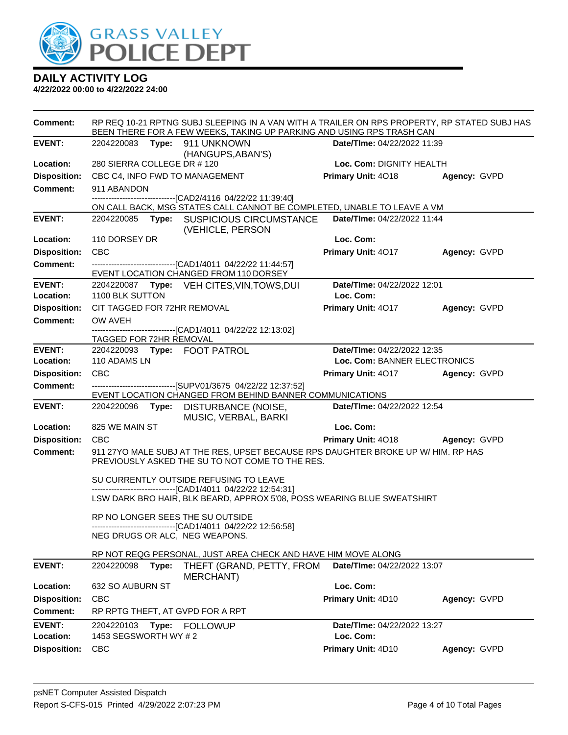

| Comment:                               | RP REQ 10-21 RPTNG SUBJ SLEEPING IN A VAN WITH A TRAILER ON RPS PROPERTY, RP STATED SUBJ HAS<br>BEEN THERE FOR A FEW WEEKS, TAKING UP PARKING AND USING RPS TRASH CAN |                                          |              |  |  |
|----------------------------------------|-----------------------------------------------------------------------------------------------------------------------------------------------------------------------|------------------------------------------|--------------|--|--|
| <b>EVENT:</b>                          | 2204220083    Type: 911    UNKNOWN                                                                                                                                    | Date/TIme: 04/22/2022 11:39              |              |  |  |
| Location:                              | (HANGUPS, ABAN'S)<br>280 SIERRA COLLEGE DR #120                                                                                                                       | Loc. Com: DIGNITY HEALTH                 |              |  |  |
| <b>Disposition:</b>                    | CBC C4, INFO FWD TO MANAGEMENT                                                                                                                                        | Primary Unit: 4018                       | Agency: GVPD |  |  |
| <b>Comment:</b>                        | 911 ABANDON                                                                                                                                                           |                                          |              |  |  |
|                                        | -------------------------------[CAD2/4116 04/22/22 11:39:40]                                                                                                          |                                          |              |  |  |
|                                        | ON CALL BACK, MSG STATES CALL CANNOT BE COMPLETED, UNABLE TO LEAVE A VM                                                                                               |                                          |              |  |  |
| <b>EVENT:</b>                          | 2204220085 Type: SUSPICIOUS CIRCUMSTANCE<br>(VEHICLE, PERSON                                                                                                          | Date/TIme: 04/22/2022 11:44              |              |  |  |
| Location:                              | 110 DORSEY DR                                                                                                                                                         | Loc. Com:                                |              |  |  |
| <b>Disposition:</b>                    | <b>CBC</b>                                                                                                                                                            | Primary Unit: 4017                       | Agency: GVPD |  |  |
| <b>Comment:</b>                        | ------------------------------[CAD1/4011 04/22/22 11:44:57]                                                                                                           |                                          |              |  |  |
|                                        | EVENT LOCATION CHANGED FROM 110 DORSEY                                                                                                                                |                                          |              |  |  |
| <b>EVENT:</b><br>Location:             | 2204220087 Type: VEH CITES, VIN, TOWS, DUI<br>1100 BLK SUTTON                                                                                                         | Date/TIme: 04/22/2022 12:01<br>Loc. Com: |              |  |  |
| <b>Disposition:</b>                    | CIT TAGGED FOR 72HR REMOVAL                                                                                                                                           | Primary Unit: 4017                       | Agency: GVPD |  |  |
| <b>Comment:</b>                        | OW AVEH                                                                                                                                                               |                                          |              |  |  |
|                                        | --------------------------------[CAD1/4011 04/22/22 12:13:02]                                                                                                         |                                          |              |  |  |
|                                        | TAGGED FOR 72HR REMOVAL                                                                                                                                               |                                          |              |  |  |
| <b>EVENT:</b>                          | 2204220093 Type: FOOT PATROL                                                                                                                                          | Date/TIme: 04/22/2022 12:35              |              |  |  |
| Location:                              | 110 ADAMS LN                                                                                                                                                          | Loc. Com: BANNER ELECTRONICS             |              |  |  |
| <b>Disposition:</b><br><b>Comment:</b> | <b>CBC</b><br>------------------------------[SUPV01/3675 04/22/22 12:37:52]                                                                                           | Primary Unit: 4017 Agency: GVPD          |              |  |  |
|                                        | EVENT LOCATION CHANGED FROM BEHIND BANNER COMMUNICATIONS                                                                                                              |                                          |              |  |  |
| <b>EVENT:</b>                          | 2204220096<br>Type: DISTURBANCE (NOISE,                                                                                                                               | Date/TIme: 04/22/2022 12:54              |              |  |  |
| Location:                              | MUSIC, VERBAL, BARKI<br>825 WE MAIN ST                                                                                                                                | Loc. Com:                                |              |  |  |
| <b>Disposition:</b>                    | <b>CBC</b>                                                                                                                                                            | <b>Primary Unit: 4018</b>                | Agency: GVPD |  |  |
| <b>Comment:</b>                        |                                                                                                                                                                       |                                          |              |  |  |
|                                        | 911 27YO MALE SUBJ AT THE RES, UPSET BECAUSE RPS DAUGHTER BROKE UP W/ HIM. RP HAS<br>PREVIOUSLY ASKED THE SU TO NOT COME TO THE RES.                                  |                                          |              |  |  |
|                                        | SU CURRENTLY OUTSIDE REFUSING TO LEAVE                                                                                                                                |                                          |              |  |  |
|                                        | -------------------------------[CAD1/4011_04/22/22 12:54:31]                                                                                                          |                                          |              |  |  |
|                                        | LSW DARK BRO HAIR, BLK BEARD, APPROX 5'08, POSS WEARING BLUE SWEATSHIRT                                                                                               |                                          |              |  |  |
|                                        | RP NO LONGER SEES THE SU OUTSIDE                                                                                                                                      |                                          |              |  |  |
|                                        | ------------------------------[CAD1/4011_04/22/22 12:56:58]<br>NEG DRUGS OR ALC, NEG WEAPONS.                                                                         |                                          |              |  |  |
|                                        |                                                                                                                                                                       |                                          |              |  |  |
|                                        | RP NOT REQG PERSONAL, JUST AREA CHECK AND HAVE HIM MOVE ALONG                                                                                                         |                                          |              |  |  |
| <b>EVENT:</b>                          | 2204220098<br>Type:<br>THEFT (GRAND, PETTY, FROM<br>MERCHANT)                                                                                                         | Date/TIme: 04/22/2022 13:07              |              |  |  |
| Location:                              | 632 SO AUBURN ST                                                                                                                                                      | Loc. Com:                                |              |  |  |
| <b>Disposition:</b>                    | <b>CBC</b>                                                                                                                                                            | Primary Unit: 4D10                       | Agency: GVPD |  |  |
| <b>Comment:</b>                        | RP RPTG THEFT, AT GVPD FOR A RPT                                                                                                                                      |                                          |              |  |  |
| <b>EVENT:</b>                          | 2204220103<br>Type:<br><b>FOLLOWUP</b>                                                                                                                                | Date/TIme: 04/22/2022 13:27              |              |  |  |
| Location:                              | 1453 SEGSWORTH WY # 2                                                                                                                                                 | Loc. Com:                                |              |  |  |
| <b>Disposition:</b>                    | <b>CBC</b>                                                                                                                                                            | Primary Unit: 4D10                       | Agency: GVPD |  |  |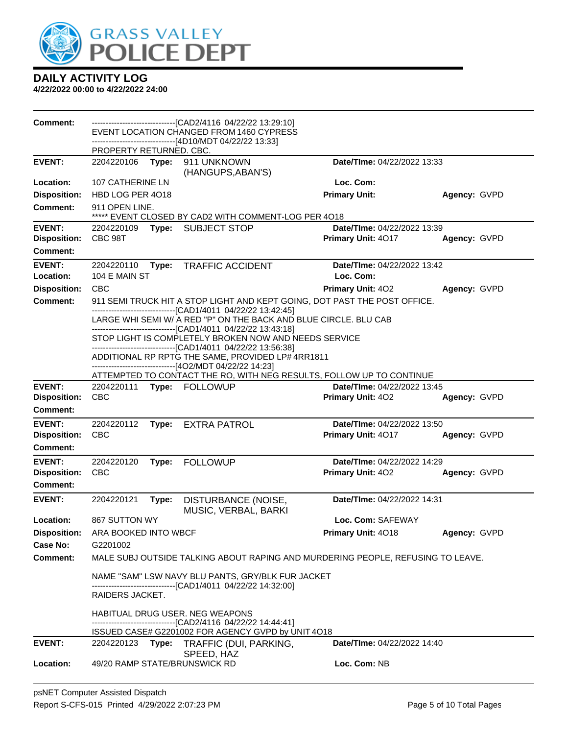

| <b>Comment:</b>     |                                                                                                                   |       | ------------------------------[CAD2/4116_04/22/22_13:29:10]<br>EVENT LOCATION CHANGED FROM 1460 CYPRESS           |                                                                                 |              |
|---------------------|-------------------------------------------------------------------------------------------------------------------|-------|-------------------------------------------------------------------------------------------------------------------|---------------------------------------------------------------------------------|--------------|
|                     |                                                                                                                   |       | -------------------[4D10/MDT 04/22/22 13:33]                                                                      |                                                                                 |              |
|                     | PROPERTY RETURNED. CBC.                                                                                           |       |                                                                                                                   |                                                                                 |              |
| <b>EVENT:</b>       | 2204220106 Type:                                                                                                  |       | 911 UNKNOWN<br>(HANGUPS, ABAN'S)                                                                                  | Date/TIme: 04/22/2022 13:33                                                     |              |
| Location:           | 107 CATHERINE LN                                                                                                  |       |                                                                                                                   | Loc. Com:                                                                       |              |
| <b>Disposition:</b> | HBD LOG PER 4018                                                                                                  |       |                                                                                                                   | <b>Primary Unit:</b>                                                            | Agency: GVPD |
| <b>Comment:</b>     | 911 OPEN LINE.<br>***** EVENT CLOSED BY CAD2 WITH COMMENT-LOG PER 4018                                            |       |                                                                                                                   |                                                                                 |              |
| <b>EVENT:</b>       | 2204220109                                                                                                        | Type: | <b>SUBJECT STOP</b>                                                                                               | Date/TIme: 04/22/2022 13:39                                                     |              |
| <b>Disposition:</b> | CBC 98T                                                                                                           |       |                                                                                                                   | Primary Unit: 4017                                                              | Agency: GVPD |
| Comment:            |                                                                                                                   |       |                                                                                                                   |                                                                                 |              |
| <b>EVENT:</b>       | 2204220110                                                                                                        | Type: | <b>TRAFFIC ACCIDENT</b>                                                                                           | Date/TIme: 04/22/2022 13:42                                                     |              |
| Location:           | 104 E MAIN ST                                                                                                     |       |                                                                                                                   | Loc. Com:                                                                       |              |
| <b>Disposition:</b> | <b>CBC</b>                                                                                                        |       |                                                                                                                   | Primary Unit: 402                                                               | Agency: GVPD |
| <b>Comment:</b>     |                                                                                                                   |       | ------------------------------[CAD1/4011_04/22/22 13:42:45]                                                       | 911 SEMI TRUCK HIT A STOP LIGHT AND KEPT GOING, DOT PAST THE POST OFFICE.       |              |
|                     |                                                                                                                   |       | LARGE WHI SEMI W/ A RED "P" ON THE BACK AND BLUE CIRCLE. BLU CAB                                                  |                                                                                 |              |
|                     |                                                                                                                   |       | ------------------------[CAD1/4011_04/22/22_13:43:18]<br>STOP LIGHT IS COMPLETELY BROKEN NOW AND NEEDS SERVICE    |                                                                                 |              |
|                     | -------------------------------[CAD1/4011_04/22/22 13:56:38]<br>ADDITIONAL RP RPTG THE SAME, PROVIDED LP# 4RR1811 |       |                                                                                                                   |                                                                                 |              |
|                     |                                                                                                                   |       | -------------------------------[4O2/MDT 04/22/22 14:23]                                                           | ATTEMPTED TO CONTACT THE RO, WITH NEG RESULTS, FOLLOW UP TO CONTINUE            |              |
| <b>EVENT:</b>       | 2204220111                                                                                                        |       | Type: FOLLOWUP                                                                                                    | Date/TIme: 04/22/2022 13:45                                                     |              |
| <b>Disposition:</b> | <b>CBC</b>                                                                                                        |       |                                                                                                                   | <b>Primary Unit: 402</b>                                                        | Agency: GVPD |
| <b>Comment:</b>     |                                                                                                                   |       |                                                                                                                   |                                                                                 |              |
| <b>EVENT:</b>       | 2204220112                                                                                                        | Type: | <b>EXTRA PATROL</b>                                                                                               | Date/TIme: 04/22/2022 13:50                                                     |              |
| <b>Disposition:</b> | <b>CBC</b>                                                                                                        |       |                                                                                                                   | Primary Unit: 4017                                                              | Agency: GVPD |
| <b>Comment:</b>     |                                                                                                                   |       |                                                                                                                   |                                                                                 |              |
| <b>EVENT:</b>       | 2204220120                                                                                                        | Type: | <b>FOLLOWUP</b>                                                                                                   | Date/TIme: 04/22/2022 14:29                                                     |              |
| <b>Disposition:</b> | <b>CBC</b>                                                                                                        |       |                                                                                                                   | Primary Unit: 402                                                               | Agency: GVPD |
| <b>Comment:</b>     |                                                                                                                   |       |                                                                                                                   |                                                                                 |              |
| <b>EVENT:</b>       | 2204220121                                                                                                        | Type: | DISTURBANCE (NOISE,<br>MUSIC, VERBAL, BARKI                                                                       | Date/TIme: 04/22/2022 14:31                                                     |              |
| Location:           | 867 SUTTON WY                                                                                                     |       |                                                                                                                   | Loc. Com: SAFEWAY                                                               |              |
| <b>Disposition:</b> | ARA BOOKED INTO WBCF                                                                                              |       |                                                                                                                   | Primary Unit: 4018                                                              | Agency: GVPD |
| Case No:            | G2201002                                                                                                          |       |                                                                                                                   |                                                                                 |              |
| Comment:            |                                                                                                                   |       |                                                                                                                   | MALE SUBJ OUTSIDE TALKING ABOUT RAPING AND MURDERING PEOPLE, REFUSING TO LEAVE. |              |
|                     |                                                                                                                   |       | NAME "SAM" LSW NAVY BLU PANTS, GRY/BLK FUR JACKET                                                                 |                                                                                 |              |
|                     | RAIDERS JACKET.                                                                                                   |       | ------------------------------[CAD1/4011 04/22/22 14:32:00]                                                       |                                                                                 |              |
|                     |                                                                                                                   |       | HABITUAL DRUG USER. NEG WEAPONS                                                                                   |                                                                                 |              |
|                     |                                                                                                                   |       | ------------------------------[CAD2/4116 04/22/22 14:44:41]<br>ISSUED CASE# G2201002 FOR AGENCY GVPD by UNIT 4O18 |                                                                                 |              |
| <b>EVENT:</b>       |                                                                                                                   |       | 2204220123 Type: TRAFFIC (DUI, PARKING,                                                                           | Date/TIme: 04/22/2022 14:40                                                     |              |
|                     |                                                                                                                   |       | SPEED, HAZ                                                                                                        |                                                                                 |              |
| <b>Location:</b>    |                                                                                                                   |       | 49/20 RAMP STATE/BRUNSWICK RD                                                                                     | Loc. Com: NB                                                                    |              |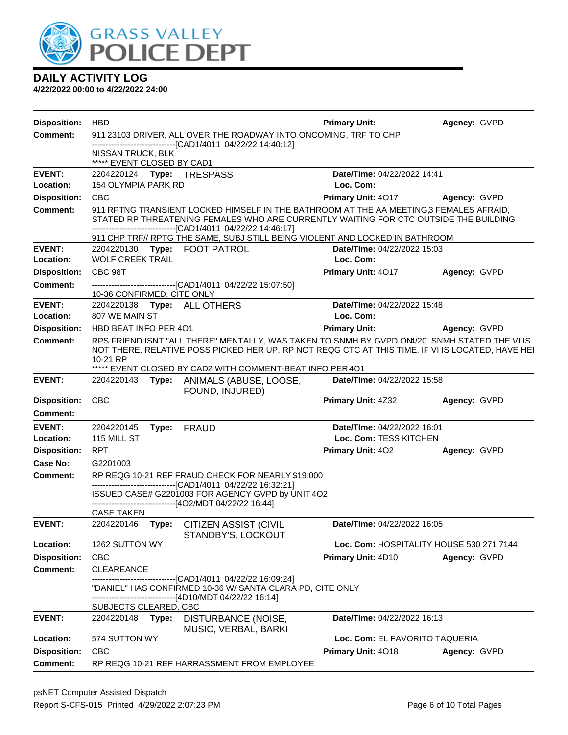

| <b>Disposition:</b>        | <b>HBD</b>                                                       |       |                                                                                                                                                                                                   | <b>Primary Unit:</b>                                  | Agency: GVPD                             |
|----------------------------|------------------------------------------------------------------|-------|---------------------------------------------------------------------------------------------------------------------------------------------------------------------------------------------------|-------------------------------------------------------|------------------------------------------|
| <b>Comment:</b>            | 911 23103 DRIVER, ALL OVER THE ROADWAY INTO ONCOMING, TRF TO CHP |       |                                                                                                                                                                                                   |                                                       |                                          |
|                            | NISSAN TRUCK, BLK                                                |       | -------------------------------[CAD1/4011 04/22/22 14:40:12]                                                                                                                                      |                                                       |                                          |
| <b>EVENT:</b>              | ***** EVENT CLOSED BY CAD1                                       |       | 2204220124 Type: TRESPASS                                                                                                                                                                         | Date/TIme: 04/22/2022 14:41                           |                                          |
| Location:                  | <b>154 OLYMPIA PARK RD</b>                                       |       |                                                                                                                                                                                                   | Loc. Com:                                             |                                          |
| <b>Disposition:</b>        | <b>CBC</b>                                                       |       |                                                                                                                                                                                                   | Primary Unit: 4017                                    | <b>Agency: GVPD</b>                      |
| Comment:                   |                                                                  |       | 911 RPTNG TRANSIENT LOCKED HIMSELF IN THE BATHROOM AT THE AA MEETING 3 FEMALES AFRAID.                                                                                                            |                                                       |                                          |
|                            |                                                                  |       | STATED RP THREATENING FEMALES WHO ARE CURRENTLY WAITING FOR CTC OUTSIDE THE BUILDING<br>-------------------------------[CAD1/4011 04/22/22 14:46:17]                                              |                                                       |                                          |
|                            |                                                                  |       | 911 CHP TRF// RPTG THE SAME, SUBJ STILL BEING VIOLENT AND LOCKED IN BATHROOM                                                                                                                      |                                                       |                                          |
| <b>EVENT:</b>              |                                                                  |       | 2204220130 Type: FOOT PATROL                                                                                                                                                                      | Date/TIme: 04/22/2022 15:03                           |                                          |
| Location:                  | <b>WOLF CREEK TRAIL</b>                                          |       |                                                                                                                                                                                                   | Loc. Com:                                             |                                          |
| <b>Disposition:</b>        | CBC 98T                                                          |       |                                                                                                                                                                                                   | Primary Unit: 4017                                    | Agency: GVPD                             |
| <b>Comment:</b>            | 10-36 CONFIRMED, CITE ONLY                                       |       | -------------------------------[CAD1/4011 04/22/22 15:07:50]                                                                                                                                      |                                                       |                                          |
| <b>EVENT:</b>              |                                                                  |       | 2204220138 Type: ALL OTHERS                                                                                                                                                                       | Date/TIme: 04/22/2022 15:48                           |                                          |
| Location:                  | 807 WE MAIN ST                                                   |       |                                                                                                                                                                                                   | Loc. Com:                                             |                                          |
| <b>Disposition:</b>        | HBD BEAT INFO PER 401                                            |       |                                                                                                                                                                                                   | <b>Primary Unit:</b>                                  | Agency: GVPD                             |
| <b>Comment:</b>            | 10-21 RP                                                         |       | RPS FRIEND ISNT "ALL THERE" MENTALLY, WAS TAKEN TO SNMH BY GVPD ON4/20. SNMH STATED THE VI IS<br>NOT THERE. RELATIVE POSS PICKED HER UP. RP NOT REQG CTC AT THIS TIME. IF VI IS LOCATED, HAVE HEI |                                                       |                                          |
|                            |                                                                  |       | ***** EVENT CLOSED BY CAD2 WITH COMMENT-BEAT INFO PER 401                                                                                                                                         |                                                       |                                          |
| <b>EVENT:</b>              | 2204220143                                                       |       | Type: ANIMALS (ABUSE, LOOSE,<br>FOUND, INJURED)                                                                                                                                                   | Date/TIme: 04/22/2022 15:58                           |                                          |
| <b>Disposition:</b>        | CBC                                                              |       |                                                                                                                                                                                                   | Primary Unit: 4Z32                                    | Agency: GVPD                             |
| <b>Comment:</b>            |                                                                  |       |                                                                                                                                                                                                   |                                                       |                                          |
| <b>EVENT:</b><br>Location: | 2204220145<br>115 MILL ST                                        |       | Type: FRAUD                                                                                                                                                                                       | Date/TIme: 04/22/2022 16:01<br>Loc. Com: TESS KITCHEN |                                          |
| <b>Disposition:</b>        | <b>RPT</b>                                                       |       |                                                                                                                                                                                                   | Primary Unit: 402                                     | Agency: GVPD                             |
| Case No:                   | G2201003                                                         |       |                                                                                                                                                                                                   |                                                       |                                          |
| <b>Comment:</b>            |                                                                  |       | RP REQG 10-21 REF FRAUD CHECK FOR NEARLY \$19,000                                                                                                                                                 |                                                       |                                          |
|                            |                                                                  |       | -------------------------------[CAD1/4011 04/22/22 16:32:21]<br>ISSUED CASE# G2201003 FOR AGENCY GVPD by UNIT 4O2                                                                                 |                                                       |                                          |
|                            | <b>CASE TAKEN</b>                                                |       | -------------------------------[4O2/MDT 04/22/22 16:44]                                                                                                                                           |                                                       |                                          |
| <b>EVENT:</b>              | 2204220146                                                       | Type: | <b>CITIZEN ASSIST (CIVIL</b>                                                                                                                                                                      | Date/TIme: 04/22/2022 16:05                           |                                          |
| Location:                  | 1262 SUTTON WY                                                   |       | STANDBY'S, LOCKOUT                                                                                                                                                                                |                                                       | Loc. Com: HOSPITALITY HOUSE 530 271 7144 |
| <b>Disposition:</b>        | <b>CBC</b>                                                       |       |                                                                                                                                                                                                   | Primary Unit: 4D10                                    | Agency: GVPD                             |
| <b>Comment:</b>            | <b>CLEAREANCE</b>                                                |       |                                                                                                                                                                                                   |                                                       |                                          |
|                            |                                                                  |       | -------------------[CAD1/4011_04/22/22 16:09:24]                                                                                                                                                  |                                                       |                                          |
|                            |                                                                  |       | "DANIEL" HAS CONFIRMED 10-36 W/ SANTA CLARA PD, CITE ONLY<br>-------------------------------[4D10/MDT 04/22/22 16:14]                                                                             |                                                       |                                          |
|                            | <b>SUBJECTS CLEARED. CBC</b>                                     |       |                                                                                                                                                                                                   |                                                       |                                          |
| <b>EVENT:</b>              | 2204220148                                                       | Type: | DISTURBANCE (NOISE,<br>MUSIC, VERBAL, BARKI                                                                                                                                                       | Date/TIme: 04/22/2022 16:13                           |                                          |
| Location:                  | 574 SUTTON WY                                                    |       |                                                                                                                                                                                                   | Loc. Com: EL FAVORITO TAQUERIA                        |                                          |
| <b>Disposition:</b>        | <b>CBC</b>                                                       |       |                                                                                                                                                                                                   | Primary Unit: 4018                                    | Agency: GVPD                             |
| <b>Comment:</b>            |                                                                  |       | RP REQG 10-21 REF HARRASSMENT FROM EMPLOYEE                                                                                                                                                       |                                                       |                                          |
|                            |                                                                  |       |                                                                                                                                                                                                   |                                                       |                                          |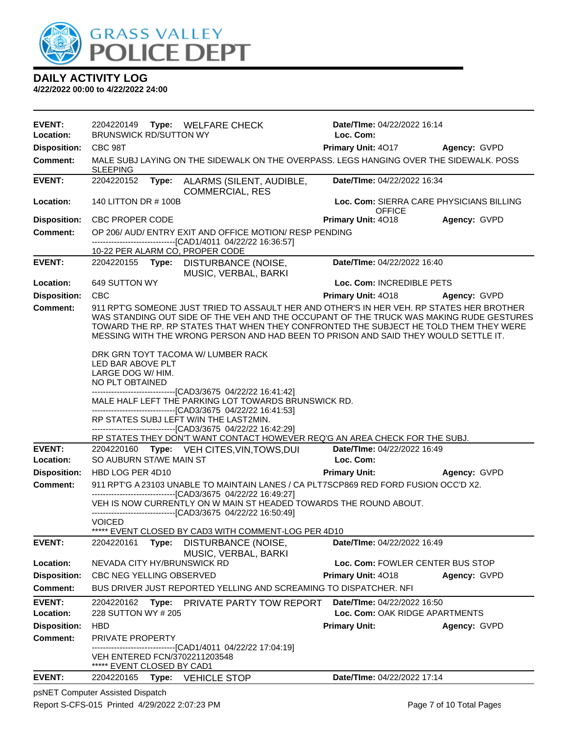

**4/22/2022 00:00 to 4/22/2022 24:00**

| EVENT:<br>Location: | 2204220149<br>Type: WELFARE CHECK<br><b>BRUNSWICK RD/SUTTON WY</b>                                                                                                                                                                                                                                   |                                                                                                                                                                                                                                                                                                                                                                      | Date/Time: 04/22/2022 16:14<br>Loc. Com:                  |              |
|---------------------|------------------------------------------------------------------------------------------------------------------------------------------------------------------------------------------------------------------------------------------------------------------------------------------------------|----------------------------------------------------------------------------------------------------------------------------------------------------------------------------------------------------------------------------------------------------------------------------------------------------------------------------------------------------------------------|-----------------------------------------------------------|--------------|
| <b>Disposition:</b> | CBC 98T                                                                                                                                                                                                                                                                                              |                                                                                                                                                                                                                                                                                                                                                                      | Primary Unit: 4017 Agency: GVPD                           |              |
| <b>Comment:</b>     | <b>SLEEPING</b>                                                                                                                                                                                                                                                                                      | MALE SUBJ LAYING ON THE SIDEWALK ON THE OVERPASS. LEGS HANGING OVER THE SIDEWALK. POSS                                                                                                                                                                                                                                                                               |                                                           |              |
| <b>EVENT:</b>       | 2204220152<br>Type:                                                                                                                                                                                                                                                                                  | ALARMS (SILENT, AUDIBLE,<br><b>COMMERCIAL, RES</b>                                                                                                                                                                                                                                                                                                                   | <b>Date/TIme: 04/22/2022 16:34</b>                        |              |
| Location:           | 140 LITTON DR # 100B                                                                                                                                                                                                                                                                                 |                                                                                                                                                                                                                                                                                                                                                                      | Loc. Com: SIERRA CARE PHYSICIANS BILLING<br><b>OFFICE</b> |              |
| <b>Disposition:</b> | <b>CBC PROPER CODE</b>                                                                                                                                                                                                                                                                               |                                                                                                                                                                                                                                                                                                                                                                      | Primary Unit: 4018                                        | Agency: GVPD |
| <b>Comment:</b>     | -----------------------[CAD1/4011_04/22/22_16:36:57]                                                                                                                                                                                                                                                 | OP 206/ AUD/ ENTRY EXIT AND OFFICE MOTION/ RESP PENDING                                                                                                                                                                                                                                                                                                              |                                                           |              |
|                     | 10-22 PER ALARM CO, PROPER CODE                                                                                                                                                                                                                                                                      |                                                                                                                                                                                                                                                                                                                                                                      |                                                           |              |
| <b>EVENT:</b>       | 2204220155                                                                                                                                                                                                                                                                                           | Type: DISTURBANCE (NOISE,<br>MUSIC, VERBAL, BARKI                                                                                                                                                                                                                                                                                                                    | Date/TIme: 04/22/2022 16:40                               |              |
| Location:           | 649 SUTTON WY                                                                                                                                                                                                                                                                                        |                                                                                                                                                                                                                                                                                                                                                                      | Loc. Com: INCREDIBLE PETS                                 |              |
| <b>Disposition:</b> | <b>CBC</b>                                                                                                                                                                                                                                                                                           |                                                                                                                                                                                                                                                                                                                                                                      | Primary Unit: 4018                                        | Agency: GVPD |
| <b>Comment:</b>     |                                                                                                                                                                                                                                                                                                      | 911 RPT'G SOMEONE JUST TRIED TO ASSAULT HER AND OTHER'S IN HER VEH. RP STATES HER BROTHER<br>WAS STANDING OUT SIDE OF THE VEH AND THE OCCUPANT OF THE TRUCK WAS MAKING RUDE GESTURES<br>TOWARD THE RP. RP STATES THAT WHEN THEY CONFRONTED THE SUBJECT HE TOLD THEM THEY WERE<br>MESSING WITH THE WRONG PERSON AND HAD BEEN TO PRISON AND SAID THEY WOULD SETTLE IT. |                                                           |              |
|                     | LED BAR ABOVE PLT<br>LARGE DOG W/ HIM.<br>NO PLT OBTAINED<br>------------------------------[CAD3/3675 04/22/22 16:41:42]<br>-------------------------------[CAD3/3675 04/22/22 16:41:53]<br>RP STATES SUBJ LEFT W/IN THE LAST2MIN.<br>---------------------------------[CAD3/3675_04/22/22_16:42:29] | MALE HALF LEFT THE PARKING LOT TOWARDS BRUNSWICK RD.<br>RP STATES THEY DON'T WANT CONTACT HOWEVER REQ'G AN AREA CHECK FOR THE SUBJ.                                                                                                                                                                                                                                  |                                                           |              |
| <b>EVENT:</b>       | 2204220160 Type: VEH CITES, VIN, TOWS, DUI                                                                                                                                                                                                                                                           |                                                                                                                                                                                                                                                                                                                                                                      | Date/TIme: 04/22/2022 16:49                               |              |
| Location:           | SO AUBURN ST/WE MAIN ST                                                                                                                                                                                                                                                                              |                                                                                                                                                                                                                                                                                                                                                                      | Loc. Com:                                                 |              |
| <b>Disposition:</b> | HBD LOG PER 4D10                                                                                                                                                                                                                                                                                     |                                                                                                                                                                                                                                                                                                                                                                      | <b>Primary Unit:</b>                                      | Agency: GVPD |
| <b>Comment:</b>     |                                                                                                                                                                                                                                                                                                      | 911 RPT'G A 23103 UNABLE TO MAINTAIN LANES / CA PLT7SCP869 RED FORD FUSION OCC'D X2.                                                                                                                                                                                                                                                                                 |                                                           |              |
|                     | -------------------------------[CAD3/3675_04/22/22_16:49:27]<br>---------------------------------[CAD3/3675 04/22/22 16:50:49]                                                                                                                                                                       | VEH IS NOW CURRENTLY ON W MAIN ST HEADED TOWARDS THE ROUND ABOUT.                                                                                                                                                                                                                                                                                                    |                                                           |              |
|                     | VOICED                                                                                                                                                                                                                                                                                               | ***** EVENT CLOSED BY CAD3 WITH COMMENT-LOG PER 4D10                                                                                                                                                                                                                                                                                                                 |                                                           |              |
| <b>EVENT:</b>       | 2204220161<br>Type:                                                                                                                                                                                                                                                                                  | DISTURBANCE (NOISE,                                                                                                                                                                                                                                                                                                                                                  | Date/TIme: 04/22/2022 16:49                               |              |
| Location:           |                                                                                                                                                                                                                                                                                                      | MUSIC, VERBAL, BARKI                                                                                                                                                                                                                                                                                                                                                 | Loc. Com: FOWLER CENTER BUS STOP                          |              |
| <b>Disposition:</b> | NEVADA CITY HY/BRUNSWICK RD<br>CBC NEG YELLING OBSERVED                                                                                                                                                                                                                                              |                                                                                                                                                                                                                                                                                                                                                                      | Primary Unit: 4018                                        | Agency: GVPD |
| <b>Comment:</b>     |                                                                                                                                                                                                                                                                                                      | BUS DRIVER JUST REPORTED YELLING AND SCREAMING TO DISPATCHER. NFI                                                                                                                                                                                                                                                                                                    |                                                           |              |
| <b>EVENT:</b>       | 2204220162                                                                                                                                                                                                                                                                                           | Type: PRIVATE PARTY TOW REPORT                                                                                                                                                                                                                                                                                                                                       | Date/TIme: 04/22/2022 16:50                               |              |
| Location:           | 228 SUTTON WY # 205                                                                                                                                                                                                                                                                                  |                                                                                                                                                                                                                                                                                                                                                                      | Loc. Com: OAK RIDGE APARTMENTS                            |              |
| <b>Disposition:</b> | <b>HBD</b>                                                                                                                                                                                                                                                                                           |                                                                                                                                                                                                                                                                                                                                                                      | <b>Primary Unit:</b>                                      | Agency: GVPD |
| <b>Comment:</b>     | <b>PRIVATE PROPERTY</b>                                                                                                                                                                                                                                                                              |                                                                                                                                                                                                                                                                                                                                                                      |                                                           |              |
|                     | VEH ENTERED FCN/3702211203548<br>EVENT CLOSED BY CAD1                                                                                                                                                                                                                                                | -----------------[CAD1/4011_04/22/22_17:04:19]                                                                                                                                                                                                                                                                                                                       |                                                           |              |
| <b>EVENT:</b>       | 2204220165<br>Type:                                                                                                                                                                                                                                                                                  | <b>VEHICLE STOP</b>                                                                                                                                                                                                                                                                                                                                                  | Date/TIme: 04/22/2022 17:14                               |              |

psNET Computer Assisted Dispatch Report S-CFS-015 Printed 4/29/2022 2:07:23 PM Page 7 of 10 Total Pages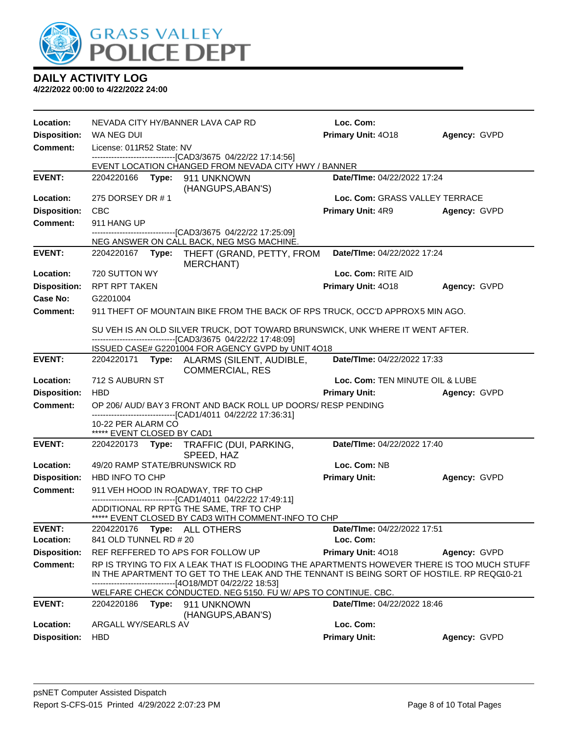

| Location:                       | NEVADA CITY HY/BANNER LAVA CAP RD                                                                                                              |                                                                                                                                                                                                                                               | Loc. Com:                       |              |
|---------------------------------|------------------------------------------------------------------------------------------------------------------------------------------------|-----------------------------------------------------------------------------------------------------------------------------------------------------------------------------------------------------------------------------------------------|---------------------------------|--------------|
| <b>Disposition:</b>             | WA NEG DUI                                                                                                                                     |                                                                                                                                                                                                                                               | Primary Unit: 4018              | Agency: GVPD |
| <b>Comment:</b>                 | License: 011R52 State: NV                                                                                                                      |                                                                                                                                                                                                                                               |                                 |              |
|                                 |                                                                                                                                                | -------------------------------[CAD3/3675 04/22/22 17:14:56]<br>EVENT LOCATION CHANGED FROM NEVADA CITY HWY / BANNER                                                                                                                          |                                 |              |
| <b>EVENT:</b>                   | 2204220166    Type: 911    UNKNOWN                                                                                                             |                                                                                                                                                                                                                                               | Date/TIme: 04/22/2022 17:24     |              |
|                                 |                                                                                                                                                | (HANGUPS, ABAN'S)                                                                                                                                                                                                                             |                                 |              |
| Location:                       | 275 DORSEY DR #1                                                                                                                               |                                                                                                                                                                                                                                               | Loc. Com: GRASS VALLEY TERRACE  |              |
| <b>Disposition:</b>             | <b>CBC</b>                                                                                                                                     |                                                                                                                                                                                                                                               | <b>Primary Unit: 4R9</b>        | Agency: GVPD |
| <b>Comment:</b>                 | 911 HANG UP                                                                                                                                    |                                                                                                                                                                                                                                               |                                 |              |
|                                 |                                                                                                                                                | -------------------------------[CAD3/3675 04/22/22 17:25:09]<br>NEG ANSWER ON CALL BACK, NEG MSG MACHINE.                                                                                                                                     |                                 |              |
| <b>EVENT:</b>                   | 2204220167 Type:                                                                                                                               | THEFT (GRAND, PETTY, FROM<br>MERCHANT)                                                                                                                                                                                                        | Date/TIme: 04/22/2022 17:24     |              |
| Location:                       | 720 SUTTON WY                                                                                                                                  |                                                                                                                                                                                                                                               | Loc. Com: RITE AID              |              |
| <b>Disposition:</b>             | <b>RPT RPT TAKEN</b>                                                                                                                           |                                                                                                                                                                                                                                               | Primary Unit: 4018              | Agency: GVPD |
| Case No:                        | G2201004                                                                                                                                       |                                                                                                                                                                                                                                               |                                 |              |
| Comment:                        |                                                                                                                                                | 911 THEFT OF MOUNTAIN BIKE FROM THE BACK OF RPS TRUCK, OCC'D APPROX5 MIN AGO.                                                                                                                                                                 |                                 |              |
|                                 |                                                                                                                                                |                                                                                                                                                                                                                                               |                                 |              |
|                                 | SU VEH IS AN OLD SILVER TRUCK, DOT TOWARD BRUNSWICK, UNK WHERE IT WENT AFTER.<br>--------------------------------[CAD3/3675 04/22/22 17:48:09] |                                                                                                                                                                                                                                               |                                 |              |
|                                 |                                                                                                                                                | ISSUED CASE# G2201004 FOR AGENCY GVPD by UNIT 4O18                                                                                                                                                                                            |                                 |              |
| <b>EVENT:</b>                   |                                                                                                                                                | 2204220171 Type: ALARMS (SILENT, AUDIBLE,<br><b>COMMERCIAL, RES</b>                                                                                                                                                                           | Date/TIme: 04/22/2022 17:33     |              |
| Location:                       | 712 S AUBURN ST                                                                                                                                |                                                                                                                                                                                                                                               | Loc. Com: TEN MINUTE OIL & LUBE |              |
| <b>Disposition:</b>             | <b>HBD</b>                                                                                                                                     |                                                                                                                                                                                                                                               | <b>Primary Unit:</b>            | Agency: GVPD |
| <b>Comment:</b>                 |                                                                                                                                                | OP 206/ AUD/ BAY 3 FRONT AND BACK ROLL UP DOORS/ RESP PENDING                                                                                                                                                                                 |                                 |              |
|                                 | 10-22 PER ALARM CO<br>***** EVENT CLOSED BY CAD1                                                                                               | ------------------------------[CAD1/4011 04/22/22 17:36:31]                                                                                                                                                                                   |                                 |              |
| <b>EVENT:</b>                   |                                                                                                                                                | 2204220173 Type: TRAFFIC (DUI, PARKING,                                                                                                                                                                                                       | Date/TIme: 04/22/2022 17:40     |              |
|                                 |                                                                                                                                                | SPEED, HAZ                                                                                                                                                                                                                                    |                                 |              |
| Location:                       | 49/20 RAMP STATE/BRUNSWICK RD                                                                                                                  |                                                                                                                                                                                                                                               | Loc. Com: NB                    |              |
| <b>Disposition:</b><br>Comment: | HBD INFO TO CHP                                                                                                                                |                                                                                                                                                                                                                                               | <b>Primary Unit:</b>            | Agency: GVPD |
|                                 |                                                                                                                                                | 911 VEH HOOD IN ROADWAY, TRF TO CHP<br>------------------------------[CAD1/4011 04/22/22 17:49:11]                                                                                                                                            |                                 |              |
|                                 |                                                                                                                                                | ADDITIONAL RP RPTG THE SAME, TRF TO CHP<br>***** EVENT CLOSED BY CAD3 WITH COMMENT-INFO TO CHP                                                                                                                                                |                                 |              |
| <b>EVENT:</b>                   | 2204220176    Type: ALL OTHERS                                                                                                                 |                                                                                                                                                                                                                                               | Date/TIme: 04/22/2022 17:51     |              |
| Location:                       | 841 OLD TUNNEL RD # 20                                                                                                                         |                                                                                                                                                                                                                                               | Loc. Com:                       |              |
| <b>Disposition:</b>             | REF REFFERED TO APS FOR FOLLOW UP                                                                                                              |                                                                                                                                                                                                                                               | Primary Unit: 4018              | Agency: GVPD |
| <b>Comment:</b>                 |                                                                                                                                                | RP IS TRYING TO FIX A LEAK THAT IS FLOODING THE APARTMENTS HOWEVER THERE IS TOO MUCH STUFF<br>IN THE APARTMENT TO GET TO THE LEAK AND THE TENNANT IS BEING SORT OF HOSTILE. RP REQG10-21<br>------------------------[4O18/MDT 04/22/22 18:53] |                                 |              |
|                                 |                                                                                                                                                | WELFARE CHECK CONDUCTED. NEG 5150. FU W/ APS TO CONTINUE. CBC.                                                                                                                                                                                |                                 |              |
| <b>EVENT:</b>                   | 2204220186    Type: 911    UNKNOWN                                                                                                             |                                                                                                                                                                                                                                               | Date/TIme: 04/22/2022 18:46     |              |
| Location:                       |                                                                                                                                                | (HANGUPS, ABAN'S)                                                                                                                                                                                                                             | Loc. Com:                       |              |
| <b>Disposition:</b>             | ARGALL WY/SEARLS AV<br><b>HBD</b>                                                                                                              |                                                                                                                                                                                                                                               | <b>Primary Unit:</b>            |              |
|                                 |                                                                                                                                                |                                                                                                                                                                                                                                               |                                 | Agency: GVPD |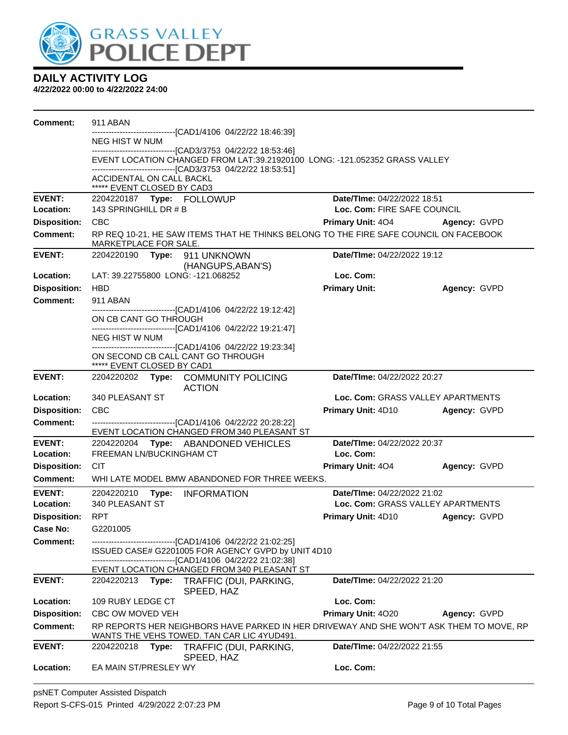

| <b>Comment:</b>     | 911 ABAN                                                                            |                                                                                                                                             |                                   |              |  |
|---------------------|-------------------------------------------------------------------------------------|---------------------------------------------------------------------------------------------------------------------------------------------|-----------------------------------|--------------|--|
|                     | <b>NEG HIST W NUM</b>                                                               | -------------------------------[CAD1/4106 04/22/22 18:46:39]                                                                                |                                   |              |  |
|                     |                                                                                     | --------------------------------[CAD3/3753_04/22/22_18:53:46]                                                                               |                                   |              |  |
|                     |                                                                                     | EVENT LOCATION CHANGED FROM LAT:39.21920100 LONG: -121.052352 GRASS VALLEY<br>--------------------------------[CAD3/3753 04/22/22 18:53:51] |                                   |              |  |
|                     | ACCIDENTAL ON CALL BACKL<br>***** EVENT CLOSED BY CAD3                              |                                                                                                                                             |                                   |              |  |
| <b>EVENT:</b>       | 2204220187 Type: FOLLOWUP                                                           |                                                                                                                                             | Date/TIme: 04/22/2022 18:51       |              |  |
| Location:           | 143 SPRINGHILL DR # B                                                               |                                                                                                                                             | Loc. Com: FIRE SAFE COUNCIL       |              |  |
| <b>Disposition:</b> | <b>CBC</b>                                                                          |                                                                                                                                             | <b>Primary Unit: 404</b>          | Agency: GVPD |  |
| <b>Comment:</b>     | MARKETPLACE FOR SALE.                                                               | RP REQ 10-21, HE SAW ITEMS THAT HE THINKS BELONG TO THE FIRE SAFE COUNCIL ON FACEBOOK                                                       |                                   |              |  |
| <b>EVENT:</b>       | 2204220190 Type: 911 UNKNOWN                                                        | (HANGUPS, ABAN'S)                                                                                                                           | Date/TIme: 04/22/2022 19:12       |              |  |
| Location:           | LAT: 39.22755800 LONG: -121.068252                                                  |                                                                                                                                             | Loc. Com:                         |              |  |
| <b>Disposition:</b> | <b>HBD</b>                                                                          |                                                                                                                                             | <b>Primary Unit:</b>              | Agency: GVPD |  |
| <b>Comment:</b>     | 911 ABAN                                                                            | -------------------------------[CAD1/4106 04/22/22 19:12:42]                                                                                |                                   |              |  |
|                     | ON CB CANT GO THROUGH                                                               |                                                                                                                                             |                                   |              |  |
|                     |                                                                                     | -------------------------------[CAD1/4106 04/22/22 19:21:47]                                                                                |                                   |              |  |
|                     | <b>NEG HIST W NUM</b>                                                               | -------------------------------[CAD1/4106 04/22/22 19:23:34]                                                                                |                                   |              |  |
|                     | ***** EVENT CLOSED BY CAD1                                                          | ON SECOND CB CALL CANT GO THROUGH                                                                                                           |                                   |              |  |
| <b>EVENT:</b>       | Date/TIme: 04/22/2022 20:27<br>2204220202 Type: COMMUNITY POLICING<br><b>ACTION</b> |                                                                                                                                             |                                   |              |  |
| Location:           | 340 PLEASANT ST                                                                     |                                                                                                                                             | Loc. Com: GRASS VALLEY APARTMENTS |              |  |
| <b>Disposition:</b> | <b>CBC</b>                                                                          |                                                                                                                                             | Primary Unit: 4D10                | Agency: GVPD |  |
| <b>Comment:</b>     |                                                                                     | ------------------------------[CAD1/4106 04/22/22 20:28:22]<br>EVENT LOCATION CHANGED FROM 340 PLEASANT ST                                  |                                   |              |  |
| <b>EVENT:</b>       |                                                                                     | 2204220204 Type: ABANDONED VEHICLES                                                                                                         | Date/TIme: 04/22/2022 20:37       |              |  |
| Location:           | FREEMAN LN/BUCKINGHAM CT                                                            |                                                                                                                                             | Loc. Com:                         |              |  |
| <b>Disposition:</b> | <b>CIT</b>                                                                          |                                                                                                                                             | Primary Unit: 404                 | Agency: GVPD |  |
| Comment:            |                                                                                     | WHI LATE MODEL BMW ABANDONED FOR THREE WEEKS.                                                                                               |                                   |              |  |
| <b>EVENT:</b>       | 2204220210 Type: INFORMATION                                                        |                                                                                                                                             | Date/TIme: 04/22/2022 21:02       |              |  |
| Location:           | 340 PLEASANT ST                                                                     |                                                                                                                                             | Loc. Com: GRASS VALLEY APARTMENTS |              |  |
| <b>Disposition:</b> | <b>RPT</b>                                                                          |                                                                                                                                             | Primary Unit: 4D10                | Agency: GVPD |  |
| Case No:            | G2201005                                                                            |                                                                                                                                             |                                   |              |  |
| Comment:            |                                                                                     | -------------------------------[CAD1/4106 04/22/22 21:02:25]<br>ISSUED CASE# G2201005 FOR AGENCY GVPD by UNIT 4D10                          |                                   |              |  |
|                     |                                                                                     | -------------------------------[CAD1/4106 04/22/22 21:02:38]                                                                                |                                   |              |  |
| <b>EVENT:</b>       | 2204220213                                                                          | EVENT LOCATION CHANGED FROM 340 PLEASANT ST<br>Type: TRAFFIC (DUI, PARKING,                                                                 | Date/TIme: 04/22/2022 21:20       |              |  |
|                     |                                                                                     | SPEED, HAZ                                                                                                                                  |                                   |              |  |
| Location:           | 109 RUBY LEDGE CT                                                                   |                                                                                                                                             | Loc. Com:                         |              |  |
| <b>Disposition:</b> | CBC OW MOVED VEH                                                                    |                                                                                                                                             | Primary Unit: 4020                | Agency: GVPD |  |
| <b>Comment:</b>     |                                                                                     | RP REPORTS HER NEIGHBORS HAVE PARKED IN HER DRIVEWAY AND SHE WON'T ASK THEM TO MOVE, RP<br>WANTS THE VEHS TOWED. TAN CAR LIC 4YUD491.       |                                   |              |  |
| <b>EVENT:</b>       | 2204220218<br>Type:                                                                 | TRAFFIC (DUI, PARKING,                                                                                                                      | Date/TIme: 04/22/2022 21:55       |              |  |
| Location:           | EA MAIN ST/PRESLEY WY                                                               | SPEED, HAZ                                                                                                                                  | Loc. Com:                         |              |  |